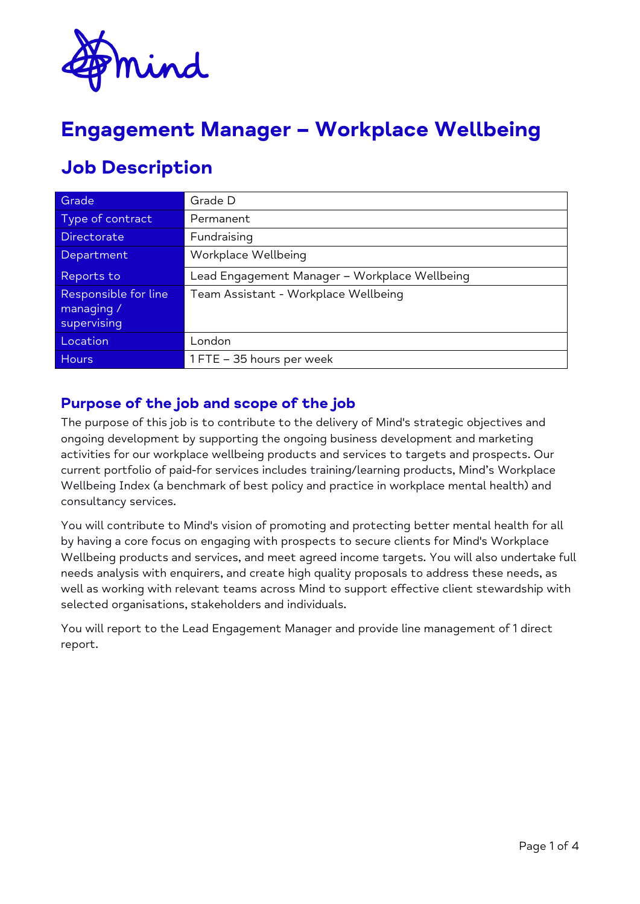

# **Engagement Manager – Workplace Wellbeing**

# **Job Description**

| Grade                                             | Grade D                                       |
|---------------------------------------------------|-----------------------------------------------|
| Type of contract                                  | Permanent                                     |
| <b>Directorate</b>                                | Fundraising                                   |
| Department                                        | Workplace Wellbeing                           |
| Reports to                                        | Lead Engagement Manager - Workplace Wellbeing |
| Responsible for line<br>managing /<br>supervising | Team Assistant - Workplace Wellbeing          |
| Location                                          | London                                        |
| <b>Hours</b>                                      | 1 FTE - 35 hours per week                     |

### **Purpose of the job and scope of the job**

The purpose of this job is to contribute to the delivery of Mind's strategic objectives and ongoing development by supporting the ongoing business development and marketing activities for our workplace wellbeing products and services to targets and prospects. Our current portfolio of paid-for services includes training/learning products, Mind's Workplace Wellbeing Index (a benchmark of best policy and practice in workplace mental health) and consultancy services.

You will contribute to Mind's vision of promoting and protecting better mental health for all by having a core focus on engaging with prospects to secure clients for Mind's Workplace Wellbeing products and services, and meet agreed income targets. You will also undertake full needs analysis with enquirers, and create high quality proposals to address these needs, as well as working with relevant teams across Mind to support effective client stewardship with selected organisations, stakeholders and individuals.

You will report to the Lead Engagement Manager and provide line management of 1 direct report.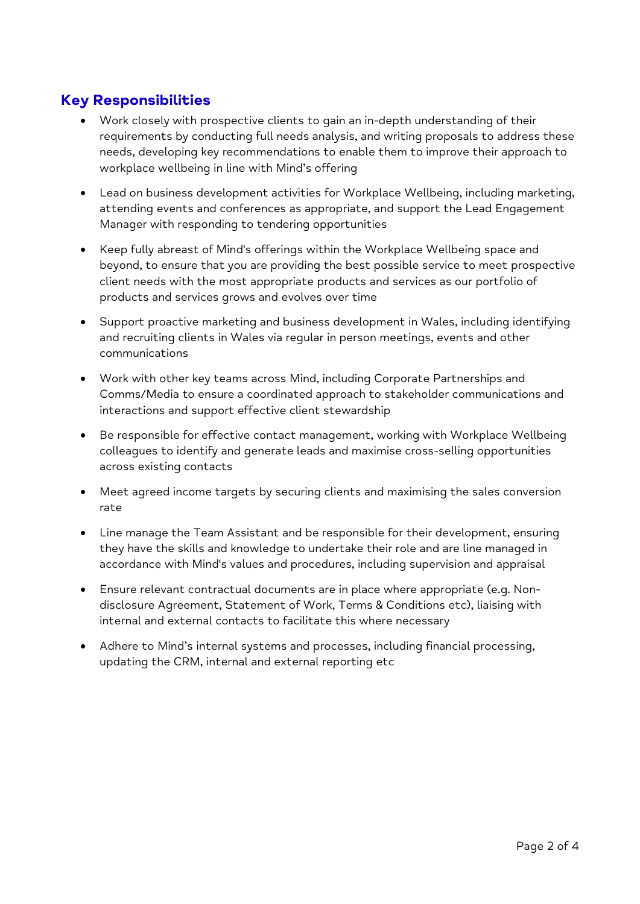## **Key Responsibilities**

- Work closely with prospective clients to gain an in-depth understanding of their requirements by conducting full needs analysis, and writing proposals to address these needs, developing key recommendations to enable them to improve their approach to workplace wellbeing in line with Mind's offering
- Lead on business development activities for Workplace Wellbeing, including marketing, attending events and conferences as appropriate, and support the Lead Engagement Manager with responding to tendering opportunities
- Keep fully abreast of Mind's offerings within the Workplace Wellbeing space and beyond, to ensure that you are providing the best possible service to meet prospective client needs with the most appropriate products and services as our portfolio of products and services grows and evolves over time
- Support proactive marketing and business development in Wales, including identifying and recruiting clients in Wales via regular in person meetings, events and other communications
- Work with other key teams across Mind, including Corporate Partnerships and Comms/Media to ensure a coordinated approach to stakeholder communications and interactions and support effective client stewardship
- Be responsible for effective contact management, working with Workplace Wellbeing colleagues to identify and generate leads and maximise cross-selling opportunities across existing contacts
- Meet agreed income targets by securing clients and maximising the sales conversion rate
- Line manage the Team Assistant and be responsible for their development, ensuring they have the skills and knowledge to undertake their role and are line managed in accordance with Mind's values and procedures, including supervision and appraisal
- Ensure relevant contractual documents are in place where appropriate (e.g. Nondisclosure Agreement, Statement of Work, Terms & Conditions etc), liaising with internal and external contacts to facilitate this where necessary
- Adhere to Mind's internal systems and processes, including financial processing, updating the CRM, internal and external reporting etc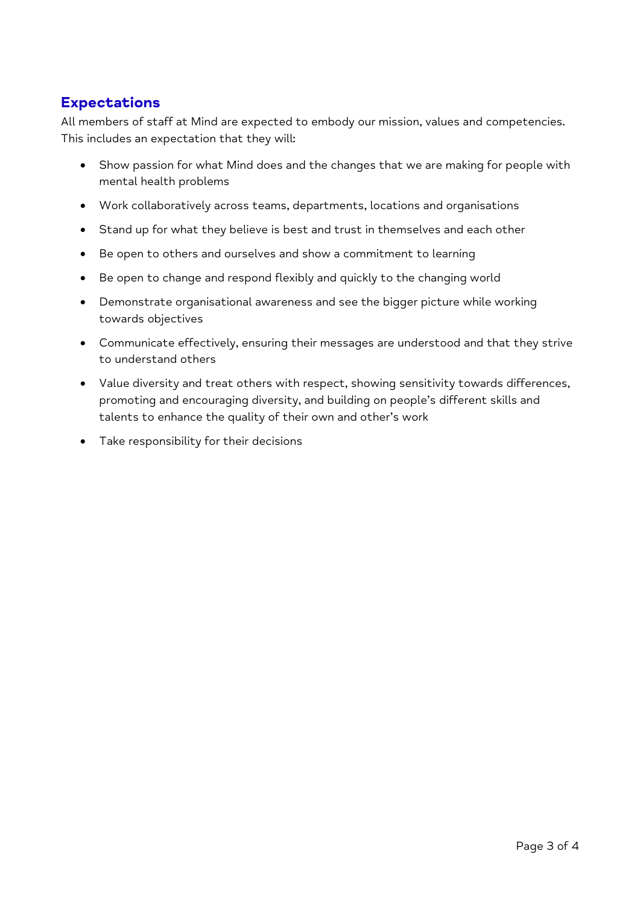### **Expectations**

All members of staff at Mind are expected to embody our mission, values and competencies. This includes an expectation that they will:

- Show passion for what Mind does and the changes that we are making for people with mental health problems
- Work collaboratively across teams, departments, locations and organisations
- Stand up for what they believe is best and trust in themselves and each other
- Be open to others and ourselves and show a commitment to learning
- Be open to change and respond flexibly and quickly to the changing world
- Demonstrate organisational awareness and see the bigger picture while working towards objectives
- Communicate effectively, ensuring their messages are understood and that they strive to understand others
- Value diversity and treat others with respect, showing sensitivity towards differences, promoting and encouraging diversity, and building on people's different skills and talents to enhance the quality of their own and other's work
- Take responsibility for their decisions